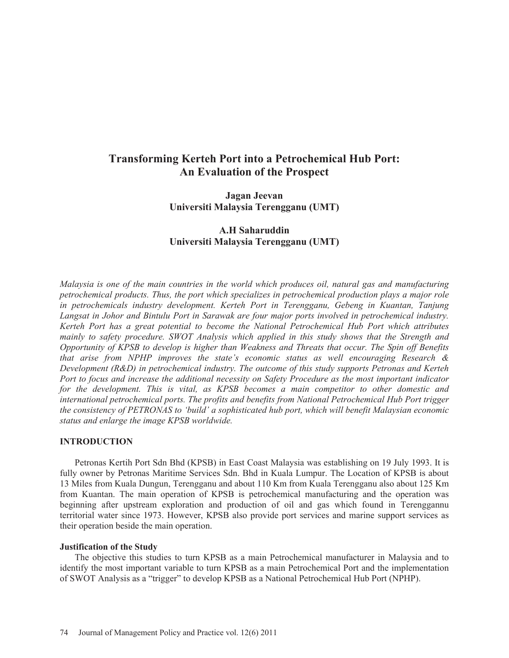# **Transforming Kerteh Port into a Petrochemical Hub Port: An Evaluation of the Prospect**

**Jagan Jeevan Universiti Malaysia Terengganu (UMT)** 

# **A.H Saharuddin Universiti Malaysia Terengganu (UMT)**

*Malaysia is one of the main countries in the world which produces oil, natural gas and manufacturing petrochemical products. Thus, the port which specializes in petrochemical production plays a major role in petrochemicals industry development. Kerteh Port in Terengganu, Gebeng in Kuantan, Tanjung Langsat in Johor and Bintulu Port in Sarawak are four major ports involved in petrochemical industry. Kerteh Port has a great potential to become the National Petrochemical Hub Port which attributes mainly to safety procedure. SWOT Analysis which applied in this study shows that the Strength and Opportunity of KPSB to develop is higher than Weakness and Threats that occur. The Spin off Benefits that arise from NPHP improves the state's economic status as well encouraging Research & Development (R&D) in petrochemical industry. The outcome of this study supports Petronas and Kerteh Port to focus and increase the additional necessity on Safety Procedure as the most important indicator for the development. This is vital, as KPSB becomes a main competitor to other domestic and international petrochemical ports. The profits and benefits from National Petrochemical Hub Port trigger the consistency of PETRONAS to 'build' a sophisticated hub port, which will benefit Malaysian economic status and enlarge the image KPSB worldwide.* 

#### **INTRODUCTION**

Petronas Kertih Port Sdn Bhd (KPSB) in East Coast Malaysia was establishing on 19 July 1993. It is fully owner by Petronas Maritime Services Sdn. Bhd in Kuala Lumpur. The Location of KPSB is about 13 Miles from Kuala Dungun, Terengganu and about 110 Km from Kuala Terengganu also about 125 Km from Kuantan. The main operation of KPSB is petrochemical manufacturing and the operation was beginning after upstream exploration and production of oil and gas which found in Terenggannu territorial water since 1973. However, KPSB also provide port services and marine support services as their operation beside the main operation.

#### **Justification of the Study**

The objective this studies to turn KPSB as a main Petrochemical manufacturer in Malaysia and to identify the most important variable to turn KPSB as a main Petrochemical Port and the implementation of SWOT Analysis as a "trigger" to develop KPSB as a National Petrochemical Hub Port (NPHP).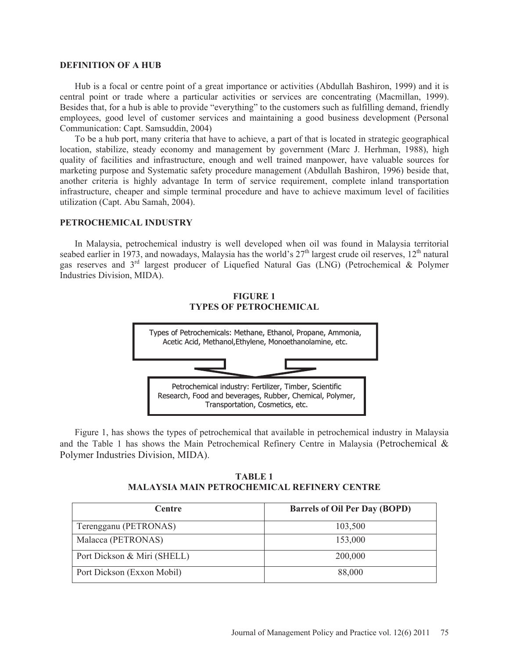#### **DEFINITION OF A HUB**

Hub is a focal or centre point of a great importance or activities (Abdullah Bashiron, 1999) and it is central point or trade where a particular activities or services are concentrating (Macmillan, 1999). Besides that, for a hub is able to provide "everything" to the customers such as fulfilling demand, friendly employees, good level of customer services and maintaining a good business development (Personal Communication: Capt. Samsuddin, 2004)

To be a hub port, many criteria that have to achieve, a part of that is located in strategic geographical location, stabilize, steady economy and management by government (Marc J. Herhman, 1988), high quality of facilities and infrastructure, enough and well trained manpower, have valuable sources for marketing purpose and Systematic safety procedure management (Abdullah Bashiron, 1996) beside that, another criteria is highly advantage In term of service requirement, complete inland transportation infrastructure, cheaper and simple terminal procedure and have to achieve maximum level of facilities utilization (Capt. Abu Samah, 2004).

#### **PETROCHEMICAL INDUSTRY**

In Malaysia, petrochemical industry is well developed when oil was found in Malaysia territorial seabed earlier in 1973, and nowadays, Malaysia has the world's  $27<sup>th</sup>$  largest crude oil reserves,  $12<sup>th</sup>$  natural gas reserves and 3rd largest producer of Liquefied Natural Gas (LNG) (Petrochemical & Polymer Industries Division, MIDA).



**FIGURE 1** 

Figure 1, has shows the types of petrochemical that available in petrochemical industry in Malaysia and the Table 1 has shows the Main Petrochemical Refinery Centre in Malaysia (Petrochemical & Polymer Industries Division, MIDA).

Research, Food and beverages, Rubber, Chemical, Polymer, Transportation, Cosmetics, etc.

**TABLE 1 MALAYSIA MAIN PETROCHEMICAL REFINERY CENTRE** 

| <b>Centre</b>               | <b>Barrels of Oil Per Day (BOPD)</b> |
|-----------------------------|--------------------------------------|
| Terengganu (PETRONAS)       | 103,500                              |
| Malacca (PETRONAS)          | 153,000                              |
| Port Dickson & Miri (SHELL) | 200,000                              |
| Port Dickson (Exxon Mobil)  | 88,000                               |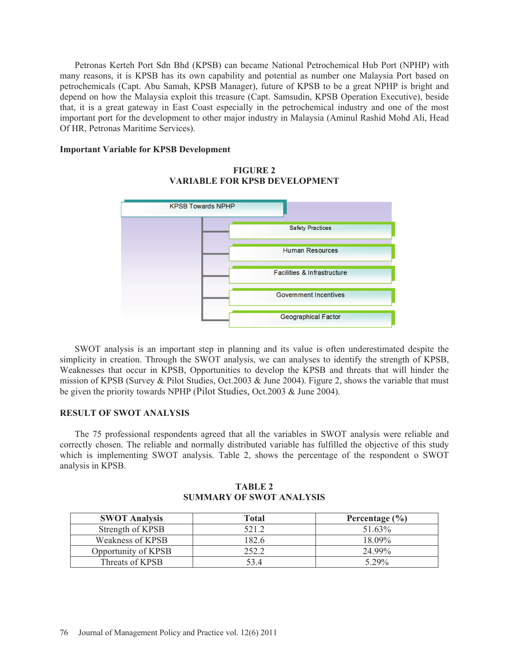Petronas Kerteh Port Sdn Bhd (KPSB) can became National Petrochemical Hub Port (NPHP) with many reasons, it is KPSB has its own capability and potential as number one Malaysia Port based on petrochemicals (Capt. Abu Samah, KPSB Manager), future of KPSB to be a great NPHP is bright and depend on how the Malaysia exploit this treasure (Capt. Samsudin, KPSB Operation Executive), beside that, it is a great gateway in East Coast especially in the petrochemical industry and one of the most important port for the development to other major industry in Malaysia (Aminul Rashid Mohd Ali, Head Of HR, Petronas Maritime Services).

#### **Important Variable for KPSB Development**



## **FIGURE 2 VARIABLE FOR KPSB DEVELOPMENT**

SWOT analysis is an important step in planning and its value is often underestimated despite the simplicity in creation. Through the SWOT analysis, we can analyses to identify the strength of KPSB, Weaknesses that occur in KPSB, Opportunities to develop the KPSB and threats that will hinder the mission of KPSB (Survey & Pilot Studies, Oct.2003 & June 2004). Figure 2, shows the variable that must be given the priority towards NPHP (Pilot Studies, Oct.2003 & June 2004).

#### **RESULT OF SWOT ANALYSIS**

The 75 professional respondents agreed that all the variables in SWOT analysis were reliable and correctly chosen. The reliable and normally distributed variable has fulfilled the objective of this study which is implementing SWOT analysis. Table 2, shows the percentage of the respondent o SWOT analysis in KPSB.

| TABLE 2                         |  |  |
|---------------------------------|--|--|
| <b>SUMMARY OF SWOT ANALYSIS</b> |  |  |

| <b>SWOT Analysis</b> | Total | Percentage $(\% )$ |
|----------------------|-------|--------------------|
| Strength of KPSB     | 521.2 | 51.63%             |
| Weakness of KPSB     | 182.6 | 18 09%             |
| Opportunity of KPSB  | າ ເາິ | 24 99%             |
| Threats of KPSB      | 53 4  | 5 29%              |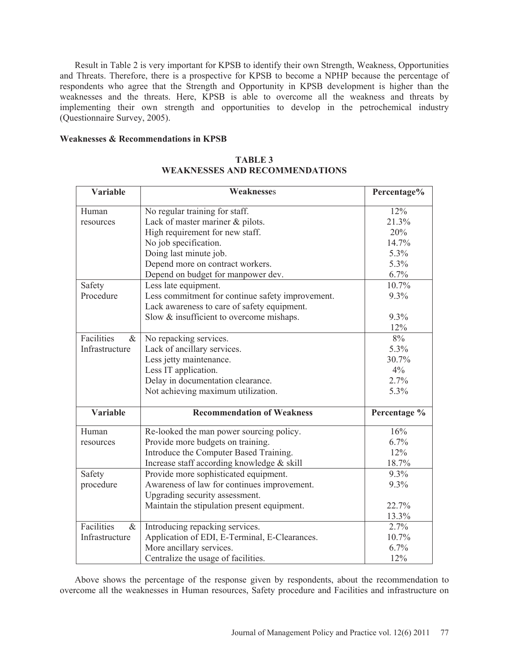Result in Table 2 is very important for KPSB to identify their own Strength, Weakness, Opportunities and Threats. Therefore, there is a prospective for KPSB to become a NPHP because the percentage of respondents who agree that the Strength and Opportunity in KPSB development is higher than the weaknesses and the threats. Here, KPSB is able to overcome all the weakness and threats by implementing their own strength and opportunities to develop in the petrochemical industry (Questionnaire Survey, 2005).

#### **Weaknesses & Recommendations in KPSB**

| <b>Variable</b>    | Weaknesses                                       | Percentage%  |
|--------------------|--------------------------------------------------|--------------|
| Human              | No regular training for staff.                   | 12%          |
| resources          | Lack of master mariner & pilots.                 | 21.3%        |
|                    | High requirement for new staff.                  | 20%          |
|                    | No job specification.                            | 14.7%        |
|                    | Doing last minute job.                           | 5.3%         |
|                    | Depend more on contract workers.                 | 5.3%         |
|                    | Depend on budget for manpower dev.               | 6.7%         |
| Safety             | Less late equipment.                             | 10.7%        |
| Procedure          | Less commitment for continue safety improvement. | 9.3%         |
|                    | Lack awareness to care of safety equipment.      |              |
|                    | Slow & insufficient to overcome mishaps.         | 9.3%         |
|                    |                                                  | 12%          |
| Facilities<br>$\&$ | No repacking services.                           | 8%           |
| Infrastructure     | Lack of ancillary services.                      | 5.3%         |
|                    | Less jetty maintenance.                          | 30.7%        |
|                    | Less IT application.                             | 4%           |
|                    | Delay in documentation clearance.                | 2.7%         |
|                    | Not achieving maximum utilization.               | 5.3%         |
|                    |                                                  |              |
| <b>Variable</b>    | <b>Recommendation of Weakness</b>                | Percentage % |
| Human              | Re-looked the man power sourcing policy.         | 16%          |
| resources          | Provide more budgets on training.                | 6.7%         |
|                    | Introduce the Computer Based Training.           | 12%          |
|                    | Increase staff according knowledge & skill       | 18.7%        |
| Safety             | Provide more sophisticated equipment.            | 9.3%         |
| procedure          | Awareness of law for continues improvement.      | 9.3%         |
|                    | Upgrading security assessment.                   |              |
|                    | Maintain the stipulation present equipment.      | 22.7%        |
|                    |                                                  | 13.3%        |
| Facilities<br>$\&$ | Introducing repacking services.                  | 2.7%         |
| Infrastructure     | Application of EDI, E-Terminal, E-Clearances.    | 10.7%        |
|                    | More ancillary services.                         | 6.7%         |
|                    | Centralize the usage of facilities.              | 12%          |

# **TABLE 3 WEAKNESSES AND RECOMMENDATIONS**

Above shows the percentage of the response given by respondents, about the recommendation to overcome all the weaknesses in Human resources, Safety procedure and Facilities and infrastructure on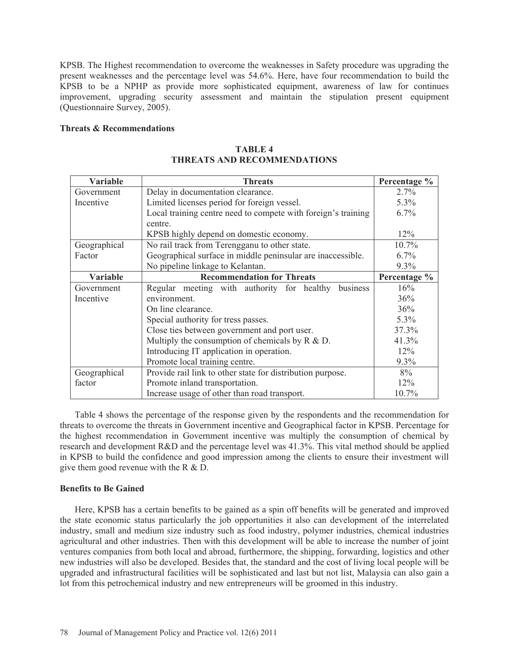KPSB. The Highest recommendation to overcome the weaknesses in Safety procedure was upgrading the present weaknesses and the percentage level was 54.6%. Here, have four recommendation to build the KPSB to be a NPHP as provide more sophisticated equipment, awareness of law for continues improvement, upgrading security assessment and maintain the stipulation present equipment (Questionnaire Survey, 2005).

# **Threats & Recommendations**

| <b>Variable</b> | <b>Threats</b>                                                | Percentage % |
|-----------------|---------------------------------------------------------------|--------------|
| Government      | Delay in documentation clearance.                             | 2.7%         |
| Incentive       | Limited licenses period for foreign vessel.                   | 5.3%         |
|                 | Local training centre need to compete with foreign's training | 6.7%         |
|                 | centre.                                                       |              |
|                 | KPSB highly depend on domestic economy.                       | $12\%$       |
| Geographical    | No rail track from Terengganu to other state.                 | $10.7\%$     |
| Factor          | Geographical surface in middle peninsular are inaccessible.   | 6.7%         |
|                 | No pipeline linkage to Kelantan.                              | 9.3%         |
| <b>Variable</b> | <b>Recommendation for Threats</b>                             | Percentage % |
| Government      | Regular meeting with authority for healthy<br>business        | 16%          |
| Incentive       | environment.                                                  | 36%          |
|                 | On line clearance.                                            | 36%          |
|                 | Special authority for tress passes.                           | $5.3\%$      |
|                 | Close ties between government and port user.                  |              |
|                 | Multiply the consumption of chemicals by $R \& D$ .           | 41.3%        |
|                 | Introducing IT application in operation.                      | 12%          |
|                 | Promote local training centre.                                | 9.3%         |
| Geographical    | Provide rail link to other state for distribution purpose.    | 8%           |
| factor          | Promote inland transportation.                                | 12%          |
|                 | Increase usage of other than road transport.                  | 10.7%        |

## **TABLE 4 THREATS AND RECOMMENDATIONS**

Table 4 shows the percentage of the response given by the respondents and the recommendation for threats to overcome the threats in Government incentive and Geographical factor in KPSB. Percentage for the highest recommendation in Government incentive was multiply the consumption of chemical by research and development R&D and the percentage level was 41.3%. This vital method should be applied in KPSB to build the confidence and good impression among the clients to ensure their investment will give them good revenue with the R & D.

# **Benefits to Be Gained**

Here, KPSB has a certain benefits to be gained as a spin off benefits will be generated and improved the state economic status particularly the job opportunities it also can development of the interrelated industry, small and medium size industry such as food industry, polymer industries, chemical industries agricultural and other industries. Then with this development will be able to increase the number of joint ventures companies from both local and abroad, furthermore, the shipping, forwarding, logistics and other new industries will also be developed. Besides that, the standard and the cost of living local people will be upgraded and infrastructural facilities will be sophisticated and last but not list, Malaysia can also gain a lot from this petrochemical industry and new entrepreneurs will be groomed in this industry.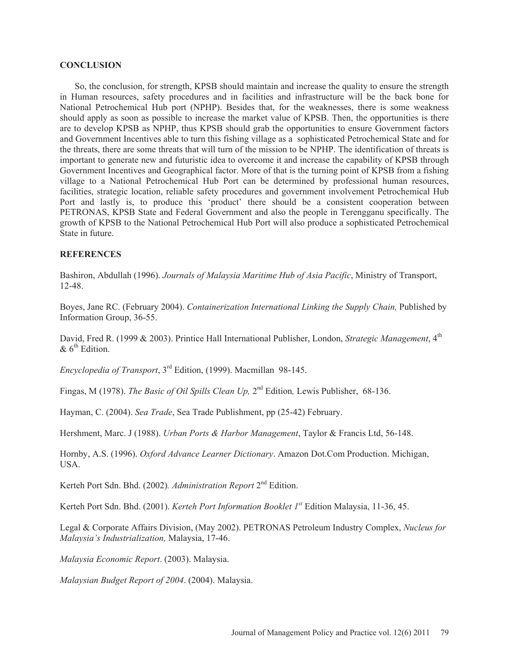#### **CONCLUSION**

So, the conclusion, for strength, KPSB should maintain and increase the quality to ensure the strength in Human resources, safety procedures and in facilities and infrastructure will be the back bone for National Petrochemical Hub port (NPHP). Besides that, for the weaknesses, there is some weakness should apply as soon as possible to increase the market value of KPSB. Then, the opportunities is there are to develop KPSB as NPHP, thus KPSB should grab the opportunities to ensure Government factors and Government Incentives able to turn this fishing village as a sophisticated Petrochemical State and for the threats, there are some threats that will turn of the mission to be NPHP. The identification of threats is important to generate new and futuristic idea to overcome it and increase the capability of KPSB through Government Incentives and Geographical factor. More of that is the turning point of KPSB from a fishing village to a National Petrochemical Hub Port can be determined by professional human resources, facilities, strategic location, reliable safety procedures and government involvement Petrochemical Hub Port and lastly is, to produce this 'product' there should be a consistent cooperation between PETRONAS, KPSB State and Federal Government and also the people in Terengganu specifically. The growth of KPSB to the National Petrochemical Hub Port will also produce a sophisticated Petrochemical State in future.

#### **REFERENCES**

Bashiron, Abdullah (1996). *Journals of Malaysia Maritime Hub of Asia Pacific*, Ministry of Transport, 12-48.

Boyes, Jane RC. (February 2004). *Containerization International Linking the Supply Chain,* Published by Information Group, 36-55.

David, Fred R. (1999 & 2003). Printice Hall International Publisher, London, *Strategic Management*, 4<sup>th</sup>  $\&$  6<sup>th</sup> Edition.

*Encyclopedia of Transport*, 3rd Edition, (1999). Macmillan 98-145.

Fingas, M (1978). *The Basic of Oil Spills Clean Up,* 2nd Edition*,* Lewis Publisher,68-136.

Hayman, C. (2004). *Sea Trade*, Sea Trade Publishment, pp (25-42) February.

Hershment, Marc. J (1988). *Urban Ports & Harbor Management*, Taylor & Francis Ltd, 56-148.

Hornby, A.S. (1996). *Oxford Advance Learner Dictionary*. Amazon Dot.Com Production. Michigan, USA.

Kerteh Port Sdn. Bhd. (2002)*. Administration Report* 2nd Edition.

Kerteh Port Sdn. Bhd. (2001). *Kerteh Port Information Booklet 1st* Edition Malaysia, 11-36, 45.

Legal & Corporate Affairs Division, (May 2002). PETRONAS Petroleum Industry Complex, *Nucleus for Malaysia's Industrialization,* Malaysia, 17-46.

*Malaysia Economic Report*. (2003). Malaysia.

*Malaysian Budget Report of 2004*. (2004). Malaysia.